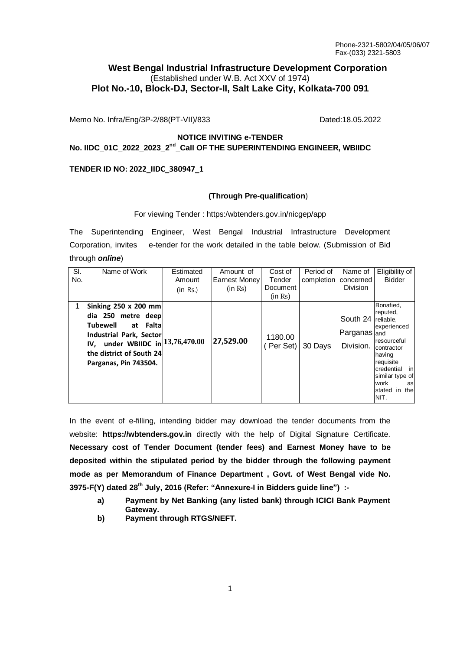# **West Bengal Industrial Infrastructure Development Corporation** (Established under W.B. Act XXV of 1974) **Plot No.-10, Block-DJ, Sector-II, Salt Lake City, Kolkata-700 091**

Memo No. Infra/Eng/3P-2/88(PT-VII)/833 Dated:18.05.2022

## **NOTICE INVITING e-TENDER No. IIDC\_01C\_2022\_2023\_2nd \_Call OF THE SUPERINTENDING ENGINEER, WBIIDC**

## **TENDER ID NO: 2022\_IIDC\_380947\_1**

#### **(Through Pre-qualification**)

#### For viewing Tender : https:/wbtenders.gov.in/nicgep/app

The Superintending Engineer, West Bengal Industrial Infrastructure Development Corporation, invites e-tender for the work detailed in the table below. (Submission of Bid through *online*)

| SI.<br>No. | Name of Work                                                                                                                                                                              | Estimated<br>Amount<br>(in Rs.) | Amount of<br>Earnest Money<br>(in Rs) | Cost of<br>Tender<br>Document<br>(in Rs) | Period of<br>completion | Name of<br>concerned<br><b>Division</b>         | Eligibility of<br><b>Bidder</b>                                                                                                                                        |
|------------|-------------------------------------------------------------------------------------------------------------------------------------------------------------------------------------------|---------------------------------|---------------------------------------|------------------------------------------|-------------------------|-------------------------------------------------|------------------------------------------------------------------------------------------------------------------------------------------------------------------------|
|            | Sinking 250 x 200 mm<br>dia 250 metre deep<br>lTubewell<br>at Falta<br>Industrial Park, Sector<br>IV, under WBIIDC in $13,76,470.00$<br>the district of South 24<br>Parganas, Pin 743504. |                                 | 27,529.00                             | 1180.00<br>(Per Set)                     | 30 Days                 | South 24 reliable,<br>Parganas and<br>Division. | Bonafied.<br>reputed,<br>experienced<br>resourceful<br>contractor<br>having<br>requisite<br>credential<br>in<br>similar type of<br>work<br>as<br>stated in the<br>NIT. |

In the event of e-filling, intending bidder may download the tender documents from the website: **https://wbtenders.gov.in** directly with the help of Digital Signature Certificate. **Necessary cost of Tender Document (tender fees) and Earnest Money have to be deposited within the stipulated period by the bidder through the following payment mode as per Memorandum of Finance Department , Govt. of West Bengal vide No. 3975-F(Y) dated 28th July, 2016 (Refer: "Annexure-I in Bidders guide line") :-**

- **a) Payment by Net Banking (any listed bank) through ICICI Bank Payment Gateway.**
- **b) Payment through RTGS/NEFT.**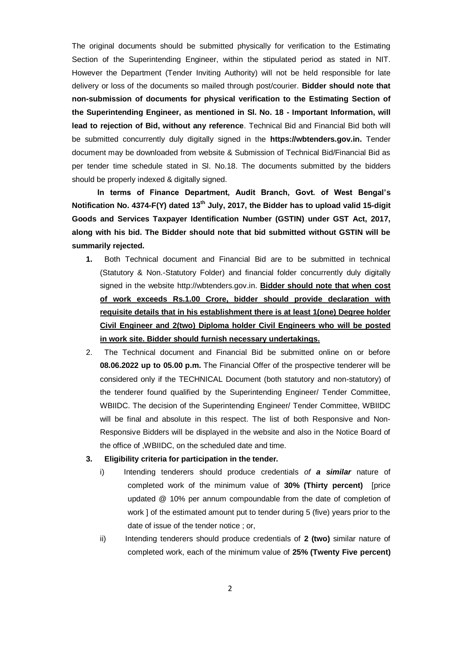The original documents should be submitted physically for verification to the Estimating Section of the Superintending Engineer, within the stipulated period as stated in NIT. However the Department (Tender Inviting Authority) will not be held responsible for late delivery or loss of the documents so mailed through post/courier. **Bidder should note that non-submission of documents for physical verification to the Estimating Section of the Superintending Engineer, as mentioned in Sl. No. 18 - Important Information, will lead to rejection of Bid, without any reference**. Technical Bid and Financial Bid both will be submitted concurrently duly digitally signed in the **https://wbtenders.gov.in.** Tender document may be downloaded from website & Submission of Technical Bid/Financial Bid as per tender time schedule stated in Sl. No.18. The documents submitted by the bidders should be properly indexed & digitally signed.

**In terms of Finance Department, Audit Branch, Govt. of West Bengal's Notification No. 4374-F(Y) dated 13th July, 2017, the Bidder has to upload valid 15-digit Goods and Services Taxpayer Identification Number (GSTIN) under GST Act, 2017, along with his bid. The Bidder should note that bid submitted without GSTIN will be summarily rejected.**

- **1.** Both Technical document and Financial Bid are to be submitted in technical (Statutory & Non.-Statutory Folder) and financial folder concurrently duly digitally signed in the website http://wbtenders.gov.in. **Bidder should note that when cost of work exceeds Rs.1.00 Crore, bidder should provide declaration with requisite details that in his establishment there is at least 1(one) Degree holder Civil Engineer and 2(two) Diploma holder Civil Engineers who will be posted in work site. Bidder should furnish necessary undertakings.**
- 2. The Technical document and Financial Bid be submitted online on or before **08.06.2022 up to 05.00 p.m.** The Financial Offer of the prospective tenderer will be considered only if the TECHNICAL Document (both statutory and non-statutory) of the tenderer found qualified by the Superintending Engineer/ Tender Committee, WBIIDC. The decision of the Superintending Engineer/ Tender Committee, WBIIDC will be final and absolute in this respect. The list of both Responsive and Non-Responsive Bidders will be displayed in the website and also in the Notice Board of the office of ,WBIIDC, on the scheduled date and time.
- **3. Eligibility criteria for participation in the tender.**
	- i) Intending tenderers should produce credentials *of a similar* nature of completed work of the minimum value of **30% (Thirty percent)** [price updated @ 10% per annum compoundable from the date of completion of work ] of the estimated amount put to tender during 5 (five) years prior to the date of issue of the tender notice ; or,
	- ii) Intending tenderers should produce credentials of 2 (two) similar nature of completed work, each of the minimum value of **25% (Twenty Five percent)**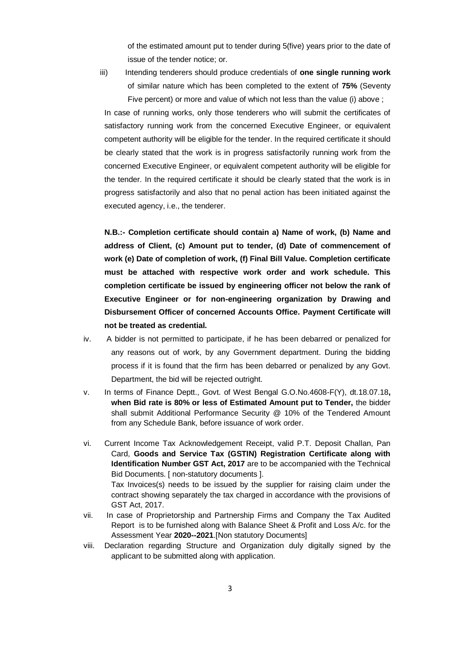of the estimated amount put to tender during 5(five) years prior to the date of issue of the tender notice; or.

iii) Intending tenderers should produce credentials of **one single running work** of similar nature which has been completed to the extent of **75%** (Seventy Five percent) or more and value of which not less than the value (i) above ;

In case of running works, only those tenderers who will submit the certificates of satisfactory running work from the concerned Executive Engineer, or equivalent competent authority will be eligible for the tender. In the required certificate it should be clearly stated that the work is in progress satisfactorily running work from the concerned Executive Engineer, or equivalent competent authority will be eligible for the tender. In the required certificate it should be clearly stated that the work is in progress satisfactorily and also that no penal action has been initiated against the executed agency, i.e., the tenderer.

**N.B.:- Completion certificate should contain a) Name of work, (b) Name and address of Client, (c) Amount put to tender, (d) Date of commencement of work (e) Date of completion of work, (f) Final Bill Value. Completion certificate must be attached with respective work order and work schedule. This completion certificate be issued by engineering officer not below the rank of Executive Engineer or for non-engineering organization by Drawing and Disbursement Officer of concerned Accounts Office. Payment Certificate will not be treated as credential.**

- iv. A bidder is not permitted to participate, if he has been debarred or penalized for any reasons out of work, by any Government department. During the bidding process if it is found that the firm has been debarred or penalized by any Govt. Department, the bid will be rejected outright.
- v. In terms of Finance Deptt., Govt. of West Bengal G.O.No.4608-F(Y), dt.18.07.18**, when Bid rate is 80% or less of Estimated Amount put to Tender,** the bidder shall submit Additional Performance Security @ 10% of the Tendered Amount from any Schedule Bank, before issuance of work order.
- vi. Current Income Tax Acknowledgement Receipt, valid P.T. Deposit Challan, Pan Card, **Goods and Service Tax (GSTIN) Registration Certificate along with Identification Number GST Act, 2017** are to be accompanied with the Technical Bid Documents. [ non-statutory documents ]. Tax Invoices(s) needs to be issued by the supplier for raising claim under the contract showing separately the tax charged in accordance with the provisions of GST Act, 2017.
- vii. In case of Proprietorship and Partnership Firms and Company the Tax Audited Report is to be furnished along with Balance Sheet & Profit and Loss A/c. for the Assessment Year **2020--2021**.[Non statutory Documents]
- viii. Declaration regarding Structure and Organization duly digitally signed by the applicant to be submitted along with application.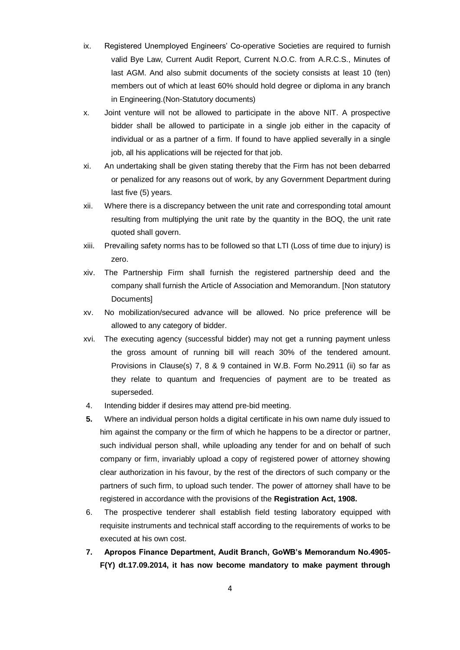- ix. Registered Unemployed Engineers' Co-operative Societies are required to furnish valid Bye Law, Current Audit Report, Current N.O.C. from A.R.C.S., Minutes of last AGM. And also submit documents of the society consists at least 10 (ten) members out of which at least 60% should hold degree or diploma in any branch in Engineering.(Non-Statutory documents)
- x. Joint venture will not be allowed to participate in the above NIT. A prospective bidder shall be allowed to participate in a single job either in the capacity of individual or as a partner of a firm. If found to have applied severally in a single job, all his applications will be rejected for that job.
- xi. An undertaking shall be given stating thereby that the Firm has not been debarred or penalized for any reasons out of work, by any Government Department during last five (5) years.
- xii. Where there is a discrepancy between the unit rate and corresponding total amount resulting from multiplying the unit rate by the quantity in the BOQ, the unit rate quoted shall govern.
- xiii. Prevailing safety norms has to be followed so that LTI (Loss of time due to injury) is zero.
- xiv. The Partnership Firm shall furnish the registered partnership deed and the company shall furnish the Article of Association and Memorandum. [Non statutory Documents]
- xv. No mobilization/secured advance will be allowed. No price preference will be allowed to any category of bidder.
- xvi. The executing agency (successful bidder) may not get a running payment unless the gross amount of running bill will reach 30% of the tendered amount. Provisions in Clause(s) 7, 8 & 9 contained in W.B. Form No.2911 (ii) so far as they relate to quantum and frequencies of payment are to be treated as superseded.
- 4. Intending bidder if desires may attend pre-bid meeting.
- **5.** Where an individual person holds a digital certificate in his own name duly issued to him against the company or the firm of which he happens to be a director or partner, such individual person shall, while uploading any tender for and on behalf of such company or firm, invariably upload a copy of registered power of attorney showing clear authorization in his favour, by the rest of the directors of such company or the partners of such firm, to upload such tender. The power of attorney shall have to be registered in accordance with the provisions of the **Registration Act, 1908.**
- 6. The prospective tenderer shall establish field testing laboratory equipped with requisite instruments and technical staff according to the requirements of works to be executed at his own cost.
- **7. Apropos Finance Department, Audit Branch, GoWB's Memorandum No.4905- F(Y) dt.17.09.2014, it has now become mandatory to make payment through**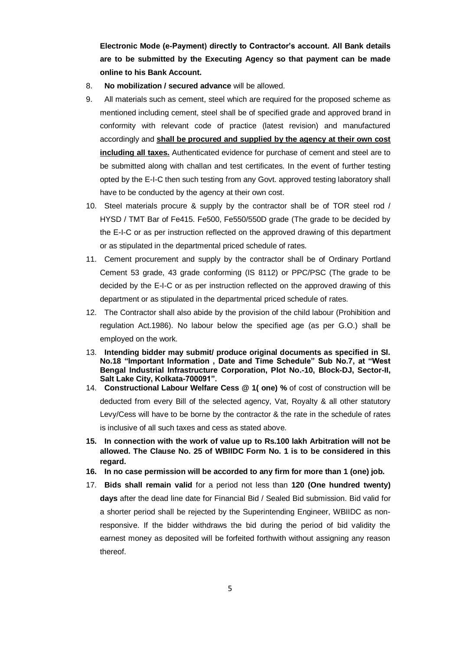**Electronic Mode (e-Payment) directly to Contractor's account. All Bank details are to be submitted by the Executing Agency so that payment can be made online to his Bank Account.**

- 8. **No mobilization / secured advance** will be allowed.
- 9. All materials such as cement, steel which are required for the proposed scheme as mentioned including cement, steel shall be of specified grade and approved brand in conformity with relevant code of practice (latest revision) and manufactured accordingly and **shall be procured and supplied by the agency at their own cost including all taxes.** Authenticated evidence for purchase of cement and steel are to be submitted along with challan and test certificates. In the event of further testing opted by the E-I-C then such testing from any Govt. approved testing laboratory shall have to be conducted by the agency at their own cost.
- 10. Steel materials procure & supply by the contractor shall be of TOR steel rod / HYSD / TMT Bar of Fe415. Fe500, Fe550/550D grade (The grade to be decided by the E-I-C or as per instruction reflected on the approved drawing of this department or as stipulated in the departmental priced schedule of rates.
- 11. Cement procurement and supply by the contractor shall be of Ordinary Portland Cement 53 grade, 43 grade conforming (IS 8112) or PPC/PSC (The grade to be decided by the E-I-C or as per instruction reflected on the approved drawing of this department or as stipulated in the departmental priced schedule of rates.
- 12. The Contractor shall also abide by the provision of the child labour (Prohibition and regulation Act.1986). No labour below the specified age (as per G.O.) shall be employed on the work.
- 13. **Intending bidder may submit/ produce original documents as specified in Sl. No.18 "Important Information , Date and Time Schedule" Sub No.7, at "West Bengal Industrial Infrastructure Corporation, Plot No.-10, Block-DJ, Sector-II, Salt Lake City, Kolkata-700091".**
- 14. **Constructional Labour Welfare Cess @ 1( one) %** of cost of construction will be deducted from every Bill of the selected agency, Vat, Royalty & all other statutory Levy/Cess will have to be borne by the contractor & the rate in the schedule of rates is inclusive of all such taxes and cess as stated above.
- **15. In connection with the work of value up to Rs.100 lakh Arbitration will not be allowed. The Clause No. 25 of WBIIDC Form No. 1 is to be considered in this regard.**
- **16. In no case permission will be accorded to any firm for more than 1 (one) job.**
- 17. **Bids shall remain valid** for a period not less than **120 (One hundred twenty) days** after the dead line date for Financial Bid / Sealed Bid submission. Bid valid for a shorter period shall be rejected by the Superintending Engineer, WBIIDC as nonresponsive. If the bidder withdraws the bid during the period of bid validity the earnest money as deposited will be forfeited forthwith without assigning any reason thereof.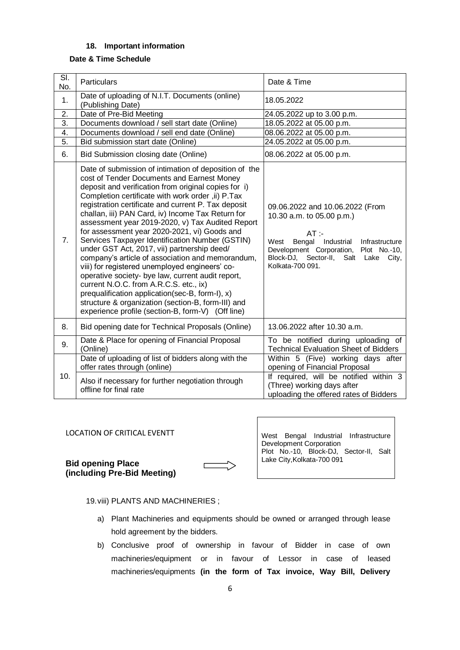## **18. Important information**

## **Date & Time Schedule**

| SI.<br>No.       | Particulars                                                                                                                                                                                                                                                                                                                                                                                                                                                                                                                                                                                                                                                                                                                                                                                                                                                                                           | Date & Time                                                                                                                                                                                                                                |  |  |  |
|------------------|-------------------------------------------------------------------------------------------------------------------------------------------------------------------------------------------------------------------------------------------------------------------------------------------------------------------------------------------------------------------------------------------------------------------------------------------------------------------------------------------------------------------------------------------------------------------------------------------------------------------------------------------------------------------------------------------------------------------------------------------------------------------------------------------------------------------------------------------------------------------------------------------------------|--------------------------------------------------------------------------------------------------------------------------------------------------------------------------------------------------------------------------------------------|--|--|--|
| 1.               | Date of uploading of N.I.T. Documents (online)<br>(Publishing Date)                                                                                                                                                                                                                                                                                                                                                                                                                                                                                                                                                                                                                                                                                                                                                                                                                                   | 18.05.2022                                                                                                                                                                                                                                 |  |  |  |
| 2.               | Date of Pre-Bid Meeting                                                                                                                                                                                                                                                                                                                                                                                                                                                                                                                                                                                                                                                                                                                                                                                                                                                                               | 24.05.2022 up to 3.00 p.m.                                                                                                                                                                                                                 |  |  |  |
| 3.               | Documents download / sell start date (Online)                                                                                                                                                                                                                                                                                                                                                                                                                                                                                                                                                                                                                                                                                                                                                                                                                                                         | 18.05.2022 at 05.00 p.m.                                                                                                                                                                                                                   |  |  |  |
| 4.               | Documents download / sell end date (Online)                                                                                                                                                                                                                                                                                                                                                                                                                                                                                                                                                                                                                                                                                                                                                                                                                                                           | 08.06.2022 at 05.00 p.m.                                                                                                                                                                                                                   |  |  |  |
| $\overline{5}$ . | Bid submission start date (Online)                                                                                                                                                                                                                                                                                                                                                                                                                                                                                                                                                                                                                                                                                                                                                                                                                                                                    | 24.05.2022 at 05.00 p.m.                                                                                                                                                                                                                   |  |  |  |
| 6.               | Bid Submission closing date (Online)                                                                                                                                                                                                                                                                                                                                                                                                                                                                                                                                                                                                                                                                                                                                                                                                                                                                  | 08.06.2022 at 05.00 p.m.                                                                                                                                                                                                                   |  |  |  |
| 7.               | Date of submission of intimation of deposition of the<br>cost of Tender Documents and Earnest Money<br>deposit and verification from original copies for i)<br>Completion certificate with work order, ii) P.Tax<br>registration certificate and current P. Tax deposit<br>challan, iii) PAN Card, iv) Income Tax Return for<br>assessment year 2019-2020, v) Tax Audited Report<br>for assessment year 2020-2021, vi) Goods and<br>Services Taxpayer Identification Number (GSTIN)<br>under GST Act, 2017, vii) partnership deed/<br>company's article of association and memorandum,<br>viii) for registered unemployed engineers' co-<br>operative society- bye law, current audit report,<br>current N.O.C. from A.R.C.S. etc., ix)<br>prequalification application(sec-B, form-I), x)<br>structure & organization (section-B, form-III) and<br>experience profile (section-B, form-V) (Off line) | 09.06.2022 and 10.06.2022 (From<br>10.30 a.m. to 05.00 p.m.)<br>$AT$ :-<br>West<br>Bengal Industrial<br>Infrastructure<br>Development Corporation,<br>Plot No.-10,<br>Block-DJ,<br>Sector-II,<br>Salt<br>Lake<br>City,<br>Kolkata-700 091. |  |  |  |
| 8.               | Bid opening date for Technical Proposals (Online)                                                                                                                                                                                                                                                                                                                                                                                                                                                                                                                                                                                                                                                                                                                                                                                                                                                     | 13.06.2022 after 10.30 a.m.                                                                                                                                                                                                                |  |  |  |
| 9.               | Date & Place for opening of Financial Proposal<br>(Online)                                                                                                                                                                                                                                                                                                                                                                                                                                                                                                                                                                                                                                                                                                                                                                                                                                            | To be notified during uploading of<br><b>Technical Evaluation Sheet of Bidders</b>                                                                                                                                                         |  |  |  |
| 10.              | Date of uploading of list of bidders along with the<br>offer rates through (online)                                                                                                                                                                                                                                                                                                                                                                                                                                                                                                                                                                                                                                                                                                                                                                                                                   | Within 5 (Five) working days after<br>opening of Financial Proposal                                                                                                                                                                        |  |  |  |
|                  | Also if necessary for further negotiation through<br>offline for final rate                                                                                                                                                                                                                                                                                                                                                                                                                                                                                                                                                                                                                                                                                                                                                                                                                           | If required, will be notified within 3<br>(Three) working days after<br>uploading the offered rates of Bidders                                                                                                                             |  |  |  |

## LOCATION OF CRITICAL EVENTT

**Bid opening Place (including Pre-Bid Meeting)**

West Bengal Industrial Infrastructure Development Corporation Plot No.-10, Block-DJ, Sector-II, Salt Lake City,Kolkata-700 091

19.viii) PLANTS AND MACHINERIES ;

- a) Plant Machineries and equipments should be owned or arranged through lease hold agreement by the bidders.
- b) Conclusive proof of ownership in favour of Bidder in case of own machineries/equipment or in favour of Lessor in case of leased machineries/equipments **(in the form of Tax invoice, Way Bill, Delivery**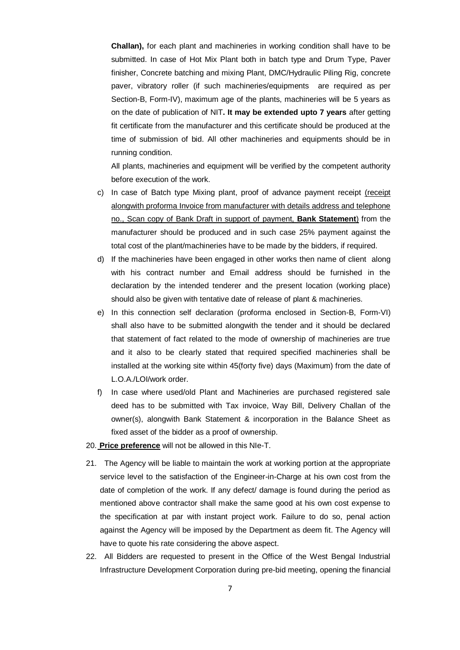**Challan),** for each plant and machineries in working condition shall have to be submitted. In case of Hot Mix Plant both in batch type and Drum Type, Paver finisher, Concrete batching and mixing Plant, DMC/Hydraulic Piling Rig, concrete paver, vibratory roller (if such machineries/equipments are required as per Section-B, Form-IV), maximum age of the plants, machineries will be 5 years as on the date of publication of NIT**. It may be extended upto 7 years** after getting fit certificate from the manufacturer and this certificate should be produced at the time of submission of bid. All other machineries and equipments should be in running condition.

All plants, machineries and equipment will be verified by the competent authority before execution of the work.

- c) In case of Batch type Mixing plant, proof of advance payment receipt (receipt alongwith proforma Invoice from manufacturer with details address and telephone no., Scan copy of Bank Draft in support of payment, **Bank Statement**) from the manufacturer should be produced and in such case 25% payment against the total cost of the plant/machineries have to be made by the bidders, if required.
- d) If the machineries have been engaged in other works then name of client along with his contract number and Email address should be furnished in the declaration by the intended tenderer and the present location (working place) should also be given with tentative date of release of plant & machineries.
- e) In this connection self declaration (proforma enclosed in Section-B, Form-VI) shall also have to be submitted alongwith the tender and it should be declared that statement of fact related to the mode of ownership of machineries are true and it also to be clearly stated that required specified machineries shall be installed at the working site within 45(forty five) days (Maximum) from the date of L.O.A./LOI/work order.
- f) In case where used/old Plant and Machineries are purchased registered sale deed has to be submitted with Tax invoice, Way Bill, Delivery Challan of the owner(s), alongwith Bank Statement & incorporation in the Balance Sheet as fixed asset of the bidder as a proof of ownership.
- 20. **Price preference** will not be allowed in this NIe-T.
- 21. The Agency will be liable to maintain the work at working portion at the appropriate service level to the satisfaction of the Engineer-in-Charge at his own cost from the date of completion of the work. If any defect/ damage is found during the period as mentioned above contractor shall make the same good at his own cost expense to the specification at par with instant project work. Failure to do so, penal action against the Agency will be imposed by the Department as deem fit. The Agency will have to quote his rate considering the above aspect.
- 22. All Bidders are requested to present in the Office of the West Bengal Industrial Infrastructure Development Corporation during pre-bid meeting, opening the financial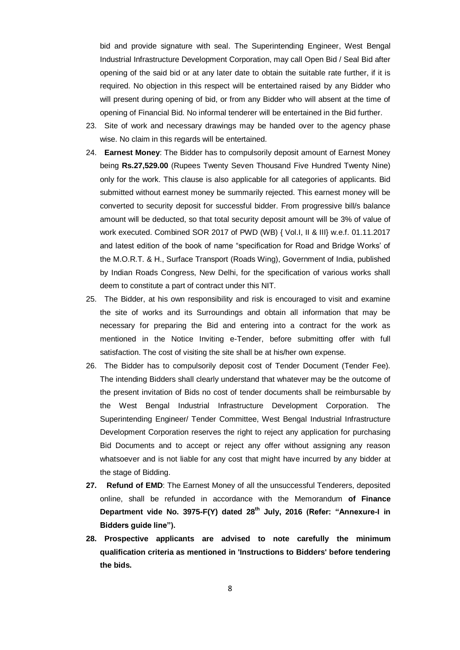bid and provide signature with seal. The Superintending Engineer, West Bengal Industrial Infrastructure Development Corporation, may call Open Bid / Seal Bid after opening of the said bid or at any later date to obtain the suitable rate further, if it is required. No objection in this respect will be entertained raised by any Bidder who will present during opening of bid, or from any Bidder who will absent at the time of opening of Financial Bid. No informal tenderer will be entertained in the Bid further.

- 23. Site of work and necessary drawings may be handed over to the agency phase wise. No claim in this regards will be entertained.
- 24. **Earnest Money**: The Bidder has to compulsorily deposit amount of Earnest Money being **Rs.27,529.00** (Rupees Twenty Seven Thousand Five Hundred Twenty Nine) only for the work. This clause is also applicable for all categories of applicants. Bid submitted without earnest money be summarily rejected. This earnest money will be converted to security deposit for successful bidder. From progressive bill/s balance amount will be deducted, so that total security deposit amount will be 3% of value of work executed. Combined SOR 2017 of PWD (WB) { Vol.I, II & III} w.e.f. 01.11.2017 and latest edition of the book of name "specification for Road and Bridge Works' of the M.O.R.T. & H., Surface Transport (Roads Wing), Government of India, published by Indian Roads Congress, New Delhi, for the specification of various works shall deem to constitute a part of contract under this NIT.
- 25. The Bidder, at his own responsibility and risk is encouraged to visit and examine the site of works and its Surroundings and obtain all information that may be necessary for preparing the Bid and entering into a contract for the work as mentioned in the Notice Inviting e-Tender, before submitting offer with full satisfaction. The cost of visiting the site shall be at his/her own expense.
- 26. The Bidder has to compulsorily deposit cost of Tender Document (Tender Fee). The intending Bidders shall clearly understand that whatever may be the outcome of the present invitation of Bids no cost of tender documents shall be reimbursable by the West Bengal Industrial Infrastructure Development Corporation. The Superintending Engineer/ Tender Committee, West Bengal Industrial Infrastructure Development Corporation reserves the right to reject any application for purchasing Bid Documents and to accept or reject any offer without assigning any reason whatsoever and is not liable for any cost that might have incurred by any bidder at the stage of Bidding.
- **27. Refund of EMD**: The Earnest Money of all the unsuccessful Tenderers, deposited online, shall be refunded in accordance with the Memorandum **of Finance Department vide No. 3975-F(Y) dated 28th July, 2016 (Refer: "Annexure-I in Bidders guide line").**
- **28. Prospective applicants are advised to note carefully the minimum qualification criteria as mentioned in 'Instructions to Bidders' before tendering the bids.**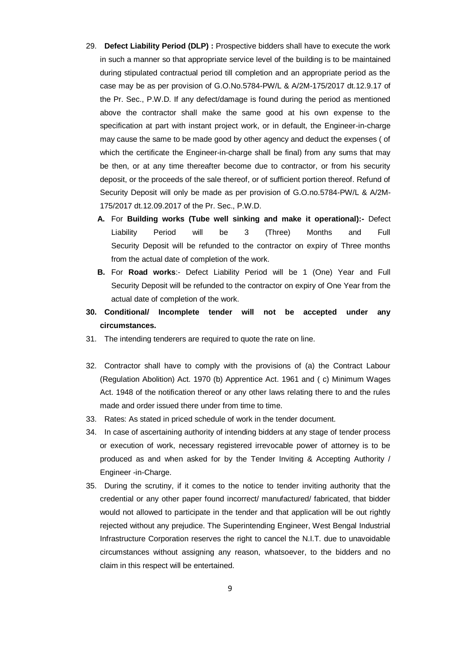- 29. **Defect Liability Period (DLP) :** Prospective bidders shall have to execute the work in such a manner so that appropriate service level of the building is to be maintained during stipulated contractual period till completion and an appropriate period as the case may be as per provision of G.O.No.5784-PW/L & A/2M-175/2017 dt.12.9.17 of the Pr. Sec., P.W.D. If any defect/damage is found during the period as mentioned above the contractor shall make the same good at his own expense to the specification at part with instant project work, or in default, the Engineer-in-charge may cause the same to be made good by other agency and deduct the expenses ( of which the certificate the Engineer-in-charge shall be final) from any sums that may be then, or at any time thereafter become due to contractor, or from his security deposit, or the proceeds of the sale thereof, or of sufficient portion thereof. Refund of Security Deposit will only be made as per provision of G.O.no.5784-PW/L & A/2M-175/2017 dt.12.09.2017 of the Pr. Sec., P.W.D.
	- **A.** For **Building works (Tube well sinking and make it operational):-** Defect Liability Period will be 3 (Three) Months and Full Security Deposit will be refunded to the contractor on expiry of Three months from the actual date of completion of the work.
	- **B.** For **Road works**:- Defect Liability Period will be 1 (One) Year and Full Security Deposit will be refunded to the contractor on expiry of One Year from the actual date of completion of the work.
- **30. Conditional/ Incomplete tender will not be accepted under any circumstances.**
- 31. The intending tenderers are required to quote the rate on line.
- 32. Contractor shall have to comply with the provisions of (a) the Contract Labour (Regulation Abolition) Act. 1970 (b) Apprentice Act. 1961 and ( c) Minimum Wages Act. 1948 of the notification thereof or any other laws relating there to and the rules made and order issued there under from time to time.
- 33. Rates: As stated in priced schedule of work in the tender document.
- 34. In case of ascertaining authority of intending bidders at any stage of tender process or execution of work, necessary registered irrevocable power of attorney is to be produced as and when asked for by the Tender Inviting & Accepting Authority / Engineer -in-Charge.
- 35. During the scrutiny, if it comes to the notice to tender inviting authority that the credential or any other paper found incorrect/ manufactured/ fabricated, that bidder would not allowed to participate in the tender and that application will be out rightly rejected without any prejudice. The Superintending Engineer, West Bengal Industrial Infrastructure Corporation reserves the right to cancel the N.I.T. due to unavoidable circumstances without assigning any reason, whatsoever, to the bidders and no claim in this respect will be entertained.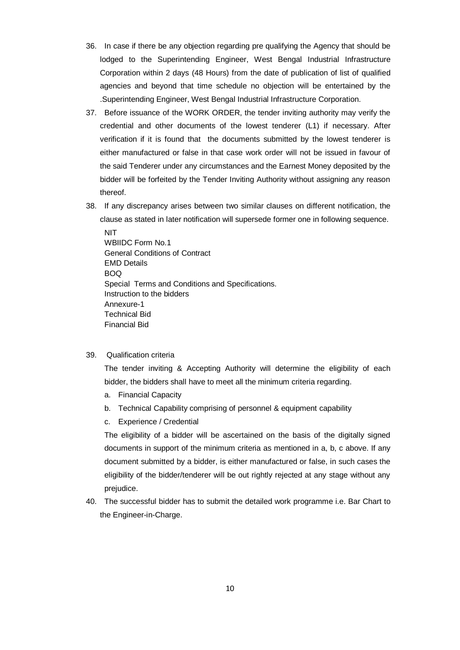- 36. In case if there be any objection regarding pre qualifying the Agency that should be lodged to the Superintending Engineer, West Bengal Industrial Infrastructure Corporation within 2 days (48 Hours) from the date of publication of list of qualified agencies and beyond that time schedule no objection will be entertained by the .Superintending Engineer, West Bengal Industrial Infrastructure Corporation.
- 37. Before issuance of the WORK ORDER, the tender inviting authority may verify the credential and other documents of the lowest tenderer (L1) if necessary. After verification if it is found that the documents submitted by the lowest tenderer is either manufactured or false in that case work order will not be issued in favour of the said Tenderer under any circumstances and the Earnest Money deposited by the bidder will be forfeited by the Tender Inviting Authority without assigning any reason thereof.
- 38. If any discrepancy arises between two similar clauses on different notification, the clause as stated in later notification will supersede former one in following sequence.

 NIT WBIIDC Form No.1 General Conditions of Contract EMD Details BOQ Special Terms and Conditions and Specifications. Instruction to the bidders Annexure-1 Technical Bid Financial Bid

39. Qualification criteria

The tender inviting & Accepting Authority will determine the eligibility of each bidder, the bidders shall have to meet all the minimum criteria regarding.

- a. Financial Capacity
- b. Technical Capability comprising of personnel & equipment capability
- c. Experience / Credential

The eligibility of a bidder will be ascertained on the basis of the digitally signed documents in support of the minimum criteria as mentioned in a, b, c above. If any document submitted by a bidder, is either manufactured or false, in such cases the eligibility of the bidder/tenderer will be out rightly rejected at any stage without any prejudice.

40. The successful bidder has to submit the detailed work programme i.e. Bar Chart to the Engineer-in-Charge.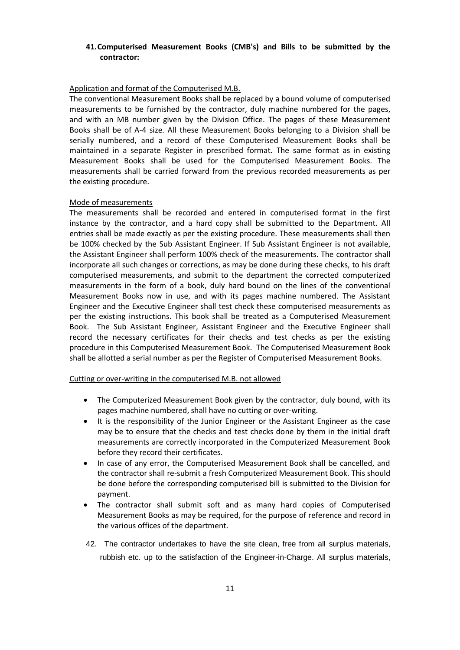## **41.Computerised Measurement Books (CMB's) and Bills to be submitted by the contractor:**

## Application and format of the Computerised M.B.

The conventional Measurement Books shall be replaced by a bound volume of computerised measurements to be furnished by the contractor, duly machine numbered for the pages, and with an MB number given by the Division Office. The pages of these Measurement Books shall be of A-4 size. All these Measurement Books belonging to a Division shall be serially numbered, and a record of these Computerised Measurement Books shall be maintained in a separate Register in prescribed format. The same format as in existing Measurement Books shall be used for the Computerised Measurement Books. The measurements shall be carried forward from the previous recorded measurements as per the existing procedure.

## Mode of measurements

The measurements shall be recorded and entered in computerised format in the first instance by the contractor, and a hard copy shall be submitted to the Department. All entries shall be made exactly as per the existing procedure. These measurements shall then be 100% checked by the Sub Assistant Engineer. If Sub Assistant Engineer is not available, the Assistant Engineer shall perform 100% check of the measurements. The contractor shall incorporate all such changes or corrections, as may be done during these checks, to his draft computerised measurements, and submit to the department the corrected computerized measurements in the form of a book, duly hard bound on the lines of the conventional Measurement Books now in use, and with its pages machine numbered. The Assistant Engineer and the Executive Engineer shall test check these computerised measurements as per the existing instructions. This book shall be treated as a Computerised Measurement Book. The Sub Assistant Engineer, Assistant Engineer and the Executive Engineer shall record the necessary certificates for their checks and test checks as per the existing procedure in this Computerised Measurement Book. The Computerised Measurement Book shall be allotted a serial number as per the Register of Computerised Measurement Books.

## Cutting or over-writing in the computerised M.B. not allowed

- The Computerized Measurement Book given by the contractor, duly bound, with its pages machine numbered, shall have no cutting or over-writing.
- It is the responsibility of the Junior Engineer or the Assistant Engineer as the case may be to ensure that the checks and test checks done by them in the initial draft measurements are correctly incorporated in the Computerized Measurement Book before they record their certificates.
- In case of any error, the Computerised Measurement Book shall be cancelled, and the contractor shall re-submit a fresh Computerized Measurement Book. This should be done before the corresponding computerised bill is submitted to the Division for payment.
- The contractor shall submit soft and as many hard copies of Computerised Measurement Books as may be required, for the purpose of reference and record in the various offices of the department.
- 42. The contractor undertakes to have the site clean, free from all surplus materials, rubbish etc. up to the satisfaction of the Engineer-in-Charge. All surplus materials,